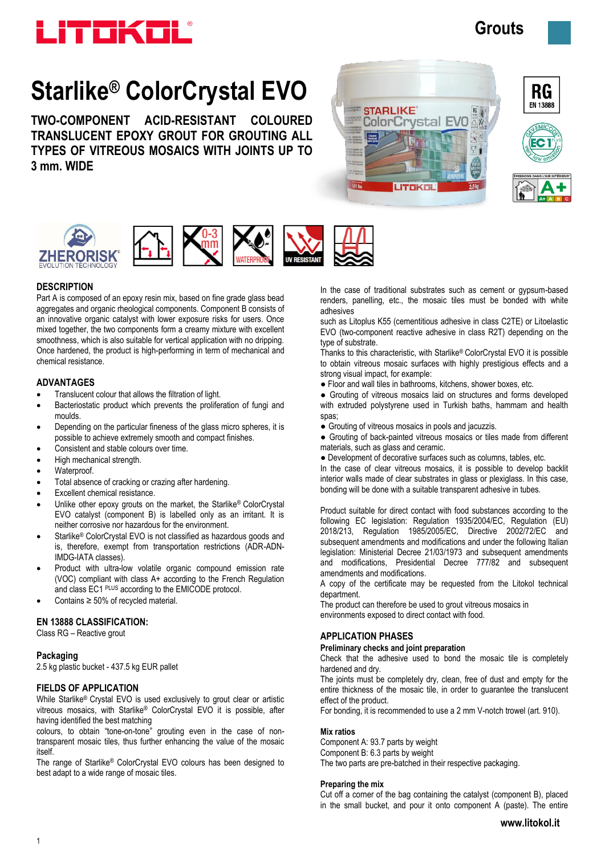

# **Grouts**

# **Starlike® ColorCrystal EVO**

**TWO-COMPONENT ACID-RESISTANT COLOURED TRANSLUCENT EPOXY GROUT FOR GROUTING ALL TYPES OF VITREOUS MOSAICS WITH JOINTS UP TO 3 mm. WIDE**





RG





# **DESCRIPTION**

Part A is composed of an epoxy resin mix, based on fine grade glass bead aggregates and organic rheological components. Component B consists of an innovative organic catalyst with lower exposure risks for users. Once mixed together, the two components form a creamy mixture with excellent smoothness, which is also suitable for vertical application with no dripping. Once hardened, the product is high-performing in term of mechanical and chemical resistance.

# **ADVANTAGES**

- Translucent colour that allows the filtration of light.
- Bacteriostatic product which prevents the proliferation of fungi and moulds.
- Depending on the particular fineness of the glass micro spheres, it is possible to achieve extremely smooth and compact finishes.
- Consistent and stable colours over time.
- High mechanical strength.
- Waterproof.
- Total absence of cracking or crazing after hardening.
- Excellent chemical resistance.
- Unlike other epoxy grouts on the market, the Starlike® ColorCrystal EVO catalyst (component B) is labelled only as an irritant. It is neither corrosive nor hazardous for the environment.
- Starlike® ColorCrystal EVO is not classified as hazardous goods and is, therefore, exempt from transportation restrictions (ADR-ADN-IMDG-IATA classes).
- Product with ultra-low volatile organic compound emission rate (VOC) compliant with class A+ according to the French Regulation and class EC1 PLUS according to the EMICODE protocol.
- Contains ≥ 50% of recycled material.

# **EN 13888 CLASSIFICATION:**

Class RG – Reactive grout

# **Packaging**

2.5 kg plastic bucket - 437.5 kg EUR pallet

# **FIELDS OF APPLICATION**

While Starlike® Crystal EVO is used exclusively to grout clear or artistic vitreous mosaics, with Starlike® ColorCrystal EVO it is possible, after having identified the best matching

colours, to obtain "tone-on-tone" grouting even in the case of nontransparent mosaic tiles, thus further enhancing the value of the mosaic itself.

The range of Starlike® ColorCrystal EVO colours has been designed to best adapt to a wide range of mosaic tiles.

In the case of traditional substrates such as cement or gypsum-based renders, panelling, etc., the mosaic tiles must be bonded with white adhesives

such as Litoplus K55 (cementitious adhesive in class C2TE) or Litoelastic EVO (two-component reactive adhesive in class R2T) depending on the type of substrate.

Thanks to this characteristic, with Starlike® ColorCrystal EVO it is possible to obtain vitreous mosaic surfaces with highly prestigious effects and a strong visual impact, for example:

● Floor and wall tiles in bathrooms, kitchens, shower boxes, etc.

● Grouting of vitreous mosaics laid on structures and forms developed with extruded polystyrene used in Turkish baths, hammam and health spas;

- Grouting of vitreous mosaics in pools and jacuzzis.
- Grouting of back-painted vitreous mosaics or tiles made from different materials, such as glass and ceramic.
- Development of decorative surfaces such as columns, tables, etc.

In the case of clear vitreous mosaics, it is possible to develop backlit interior walls made of clear substrates in glass or plexiglass. In this case, bonding will be done with a suitable transparent adhesive in tubes.

Product suitable for direct contact with food substances according to the following EC legislation: Regulation 1935/2004/EC, Regulation (EU) 2018/213, Regulation 1985/2005/EC, Directive 2002/72/EC and subsequent amendments and modifications and under the following Italian legislation: Ministerial Decree 21/03/1973 and subsequent amendments and modifications, Presidential Decree 777/82 and subsequent amendments and modifications.

A copy of the certificate may be requested from the Litokol technical department.

The product can therefore be used to grout vitreous mosaics in environments exposed to direct contact with food.

# **APPLICATION PHASES**

#### **Preliminary checks and joint preparation**

Check that the adhesive used to bond the mosaic tile is completely hardened and dry.

The joints must be completely dry, clean, free of dust and empty for the entire thickness of the mosaic tile, in order to guarantee the translucent effect of the product.

For bonding, it is recommended to use a 2 mm V-notch trowel (art. 910).

#### **Mix ratios**

Component A: 93.7 parts by weight Component B: 6.3 parts by weight The two parts are pre-batched in their respective packaging.

#### **Preparing the mix**

Cut off a corner of the bag containing the catalyst (component B), placed in the small bucket, and pour it onto component A (paste). The entire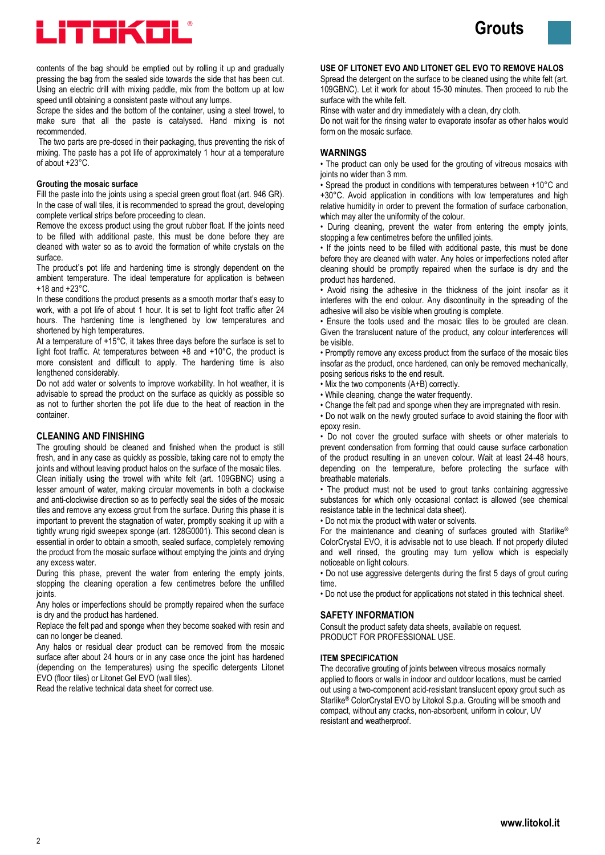



contents of the bag should be emptied out by rolling it up and gradually pressing the bag from the sealed side towards the side that has been cut. Using an electric drill with mixing paddle, mix from the bottom up at low speed until obtaining a consistent paste without any lumps.

Scrape the sides and the bottom of the container, using a steel trowel, to make sure that all the paste is catalysed. Hand mixing is not recommended.

The two parts are pre-dosed in their packaging, thus preventing the risk of mixing. The paste has a pot life of approximately 1 hour at a temperature of about +23°C.

#### **Grouting the mosaic surface**

Fill the paste into the joints using a special green grout float (art. 946 GR). In the case of wall tiles, it is recommended to spread the grout, developing complete vertical strips before proceeding to clean.

Remove the excess product using the grout rubber float. If the joints need to be filled with additional paste, this must be done before they are cleaned with water so as to avoid the formation of white crystals on the surface.

The product's pot life and hardening time is strongly dependent on the ambient temperature. The ideal temperature for application is between +18 and +23°C.

In these conditions the product presents as a smooth mortar that's easy to work, with a pot life of about 1 hour. It is set to light foot traffic after 24 hours. The hardening time is lengthened by low temperatures and shortened by high temperatures.

At a temperature of +15°C, it takes three days before the surface is set to light foot traffic. At temperatures between +8 and +10°C, the product is more consistent and difficult to apply. The hardening time is also lengthened considerably.

Do not add water or solvents to improve workability. In hot weather, it is advisable to spread the product on the surface as quickly as possible so as not to further shorten the pot life due to the heat of reaction in the container.

#### **CLEANING AND FINISHING**

The grouting should be cleaned and finished when the product is still fresh, and in any case as quickly as possible, taking care not to empty the joints and without leaving product halos on the surface of the mosaic tiles.

Clean initially using the trowel with white felt (art. 109GBNC) using a lesser amount of water, making circular movements in both a clockwise and anti-clockwise direction so as to perfectly seal the sides of the mosaic tiles and remove any excess grout from the surface. During this phase it is important to prevent the stagnation of water, promptly soaking it up with a tightly wrung rigid sweepex sponge (art. 128G0001). This second clean is essential in order to obtain a smooth, sealed surface, completely removing the product from the mosaic surface without emptying the joints and drying any excess water.

During this phase, prevent the water from entering the empty joints, stopping the cleaning operation a few centimetres before the unfilled joints.

Any holes or imperfections should be promptly repaired when the surface is dry and the product has hardened.

Replace the felt pad and sponge when they become soaked with resin and can no longer be cleaned.

Any halos or residual clear product can be removed from the mosaic surface after about 24 hours or in any case once the joint has hardened (depending on the temperatures) using the specific detergents Litonet EVO (floor tiles) or Litonet Gel EVO (wall tiles).

Read the relative technical data sheet for correct use.

**USE OF LITONET EVO AND LITONET GEL EVO TO REMOVE HALOS**

Spread the detergent on the surface to be cleaned using the white felt (art. 109GBNC). Let it work for about 15-30 minutes. Then proceed to rub the surface with the white felt.

Rinse with water and dry immediately with a clean, dry cloth.

Do not wait for the rinsing water to evaporate insofar as other halos would form on the mosaic surface.

#### **WARNINGS**

• The product can only be used for the grouting of vitreous mosaics with joints no wider than 3 mm.

• Spread the product in conditions with temperatures between +10°C and +30°C. Avoid application in conditions with low temperatures and high relative humidity in order to prevent the formation of surface carbonation, which may alter the uniformity of the colour.

• During cleaning, prevent the water from entering the empty joints, stopping a few centimetres before the unfilled joints.

• If the joints need to be filled with additional paste, this must be done before they are cleaned with water. Any holes or imperfections noted after cleaning should be promptly repaired when the surface is dry and the product has hardened.

• Avoid rising the adhesive in the thickness of the joint insofar as it interferes with the end colour. Any discontinuity in the spreading of the adhesive will also be visible when grouting is complete.

• Ensure the tools used and the mosaic tiles to be grouted are clean. Given the translucent nature of the product, any colour interferences will be visible.

• Promptly remove any excess product from the surface of the mosaic tiles insofar as the product, once hardened, can only be removed mechanically, posing serious risks to the end result.

- Mix the two components (A+B) correctly.
- While cleaning, change the water frequently.
- Change the felt pad and sponge when they are impregnated with resin.

• Do not walk on the newly grouted surface to avoid staining the floor with epoxy resin.

• Do not cover the grouted surface with sheets or other materials to prevent condensation from forming that could cause surface carbonation of the product resulting in an uneven colour. Wait at least 24-48 hours, depending on the temperature, before protecting the surface with breathable materials.

• The product must not be used to grout tanks containing aggressive substances for which only occasional contact is allowed (see chemical resistance table in the technical data sheet).

• Do not mix the product with water or solvents.

For the maintenance and cleaning of surfaces grouted with Starlike® ColorCrystal EVO, it is advisable not to use bleach. If not properly diluted and well rinsed, the grouting may turn yellow which is especially noticeable on light colours.

• Do not use aggressive detergents during the first 5 days of grout curing time.

• Do not use the product for applications not stated in this technical sheet.

#### **SAFETY INFORMATION**

Consult the product safety data sheets, available on request. PRODUCT FOR PROFESSIONAL USE.

#### **ITEM SPECIFICATION**

The decorative grouting of joints between vitreous mosaics normally applied to floors or walls in indoor and outdoor locations, must be carried out using a two-component acid-resistant translucent epoxy grout such as Starlike® ColorCrystal EVO by Litokol S.p.a. Grouting will be smooth and compact, without any cracks, non-absorbent, uniform in colour, UV resistant and weatherproof.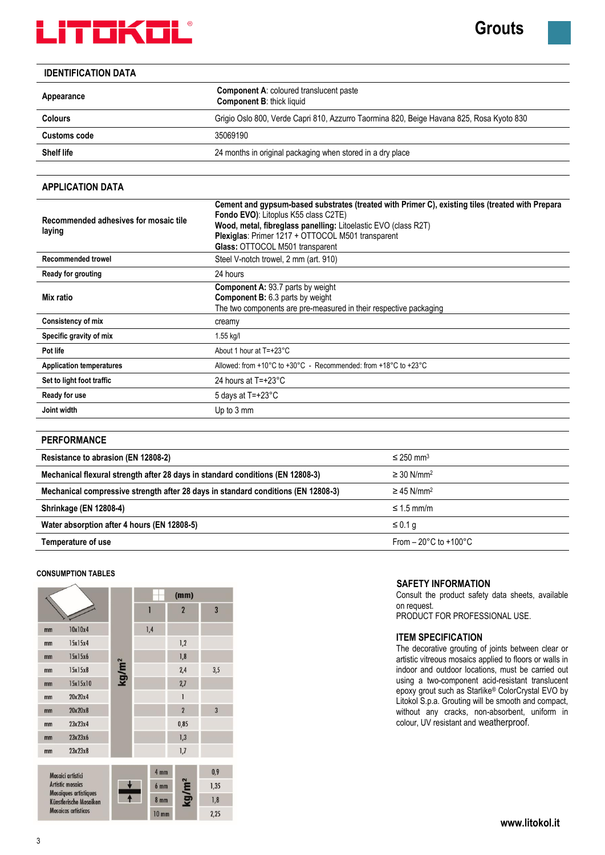

**Grouts** 

# **IDENTIFICATION DATA**

| <b>Component A: coloured translucent paste</b><br><b>Component B: thick liquid</b>       |  |  |  |
|------------------------------------------------------------------------------------------|--|--|--|
| Grigio Oslo 800, Verde Capri 810, Azzurro Taormina 820, Beige Havana 825, Rosa Kyoto 830 |  |  |  |
|                                                                                          |  |  |  |
| 24 months in original packaging when stored in a dry place                               |  |  |  |
|                                                                                          |  |  |  |

# **APPLICATION DATA**

| Recommended adhesives for mosaic tile<br>laying | Cement and gypsum-based substrates (treated with Primer C), existing tiles (treated with Prepara<br><b>Fondo EVO):</b> Litoplus K55 class C2TE)<br>Wood, metal, fibreglass panelling: Litoelastic EVO (class R2T)<br>Plexiglas: Primer 1217 + OTTOCOL M501 transparent<br>Glass: OTTOCOL M501 transparent |  |  |  |  |  |
|-------------------------------------------------|-----------------------------------------------------------------------------------------------------------------------------------------------------------------------------------------------------------------------------------------------------------------------------------------------------------|--|--|--|--|--|
| Recommended trowel                              | Steel V-notch trowel, 2 mm (art. 910)                                                                                                                                                                                                                                                                     |  |  |  |  |  |
| Ready for grouting                              | 24 hours                                                                                                                                                                                                                                                                                                  |  |  |  |  |  |
| Mix ratio                                       | <b>Component A: 93.7 parts by weight</b><br><b>Component B:</b> 6.3 parts by weight<br>The two components are pre-measured in their respective packaging                                                                                                                                                  |  |  |  |  |  |
| Consistency of mix                              | creamy                                                                                                                                                                                                                                                                                                    |  |  |  |  |  |
| Specific gravity of mix                         | 1.55 kg/l                                                                                                                                                                                                                                                                                                 |  |  |  |  |  |
| Pot life                                        | About 1 hour at T=+23°C                                                                                                                                                                                                                                                                                   |  |  |  |  |  |
| <b>Application temperatures</b>                 | Allowed: from +10 $^{\circ}$ C to +30 $^{\circ}$ C - Recommended: from +18 $^{\circ}$ C to +23 $^{\circ}$ C                                                                                                                                                                                               |  |  |  |  |  |
| Set to light foot traffic                       | 24 hours at $T = +23^{\circ}C$                                                                                                                                                                                                                                                                            |  |  |  |  |  |
| Ready for use                                   | 5 days at $T = +23^{\circ}C$                                                                                                                                                                                                                                                                              |  |  |  |  |  |
| Joint width                                     | Up to 3 mm                                                                                                                                                                                                                                                                                                |  |  |  |  |  |
|                                                 |                                                                                                                                                                                                                                                                                                           |  |  |  |  |  |

# **PERFORMANCE**

| Resistance to abrasion (EN 12808-2)                                               | $\leq$ 250 mm <sup>3</sup>               |
|-----------------------------------------------------------------------------------|------------------------------------------|
| Mechanical flexural strength after 28 days in standard conditions (EN 12808-3)    | $\geq$ 30 N/mm <sup>2</sup>              |
| Mechanical compressive strength after 28 days in standard conditions (EN 12808-3) | $\geq$ 45 N/mm <sup>2</sup>              |
| <b>Shrinkage (EN 12808-4)</b>                                                     | $\leq 1.5$ mm/m                          |
| Water absorption after 4 hours (EN 12808-5)                                       | ≤ 0.1 q                                  |
| Temperature of use                                                                | From $-20^{\circ}$ C to $+100^{\circ}$ C |

### **CONSUMPTION TABLES**



# **SAFETY INFORMATION**

Consult the product safety data sheets, available on request.

PRODUCT FOR PROFESSIONAL USE.

# **ITEM SPECIFICATION**

The decorative grouting of joints between clear or artistic vitreous mosaics applied to floors or walls in indoor and outdoor locations, must be carried out using a two-component acid-resistant translucent epoxy grout such as Starlike® ColorCrystal EVO by Litokol S.p.a. Grouting will be smooth and compact, without any cracks, non-absorbent, uniform in colour, UV resistant and weatherproof.